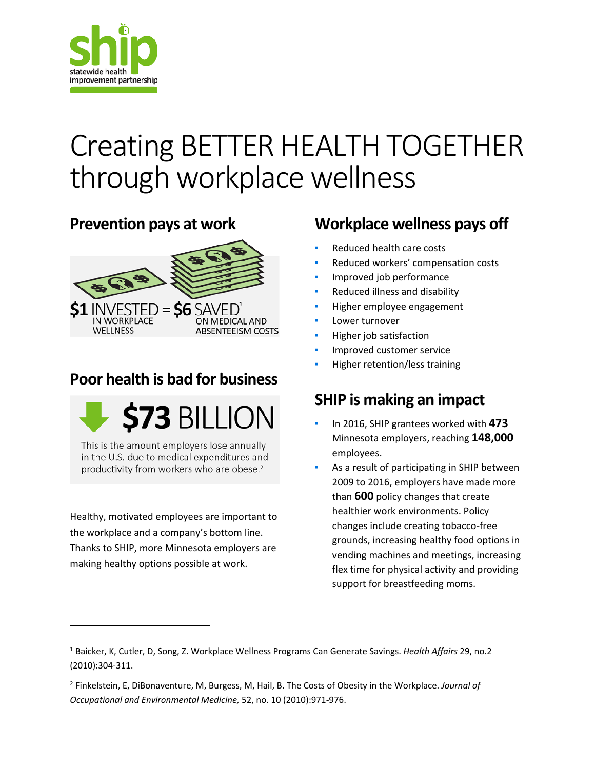

# Creating BETTER HEALTH TOGETHER through workplace wellness

#### **Prevention pays at work**



## **Poor health is bad for business**



This is the amount employers lose annually in the U.S. due to medical expenditures and productivity from workers who are obese.<sup>2</sup>

Healthy, motivated employees are important to the workplace and a company's bottom line. Thanks to SHIP, more Minnesota employers are making healthy options possible at work.

 $\overline{\phantom{a}}$ 

## **Workplace wellness pays off**

- Reduced health care costs
- Reduced workers' compensation costs
- Improved job performance
- **•** Reduced illness and disability
- **·** Higher employee engagement
- Lower turnover
- **·** Higher job satisfaction
- Improved customer service
- Higher retention/less training

## **SHIP is making an impact**

- In 2016, SHIP grantees worked with **473** Minnesota employers, reaching **148,000** employees.
- As a result of participating in SHIP between 2009 to 2016, employers have made more than **600** policy changes that create healthier work environments. Policy changes include creating tobacco-free grounds, increasing healthy food options in vending machines and meetings, increasing flex time for physical activity and providing support for breastfeeding moms.

<span id="page-0-0"></span><sup>1</sup> Baicker, K, Cutler, D, Song, Z. Workplace Wellness Programs Can Generate Savings. *Health Affairs* 29, no.2 (2010):304-311.

<span id="page-0-1"></span><sup>2</sup> Finkelstein, E, DiBonaventure, M, Burgess, M, Hail, B. The Costs of Obesity in the Workplace. *Journal of Occupational and Environmental Medicine,* 52, no. 10 (2010):971-976.